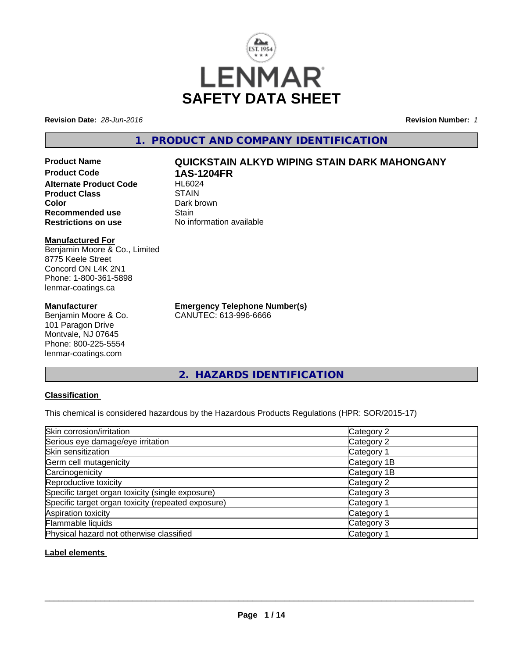

**Revision Date:** *28-Jun-2016* **Revision Number:** *1*

**1. PRODUCT AND COMPANY IDENTIFICATION**

**Product Code 1AS-1204FR Alternate Product Code Product Class STAIN**<br> **Color** Dark bi **Recommended use Stain Restrictions on use** No information available

## **Manufactured For**

Benjamin Moore & Co., Limited 8775 Keele Street Concord ON L4K 2N1 Phone: 1-800-361-5898 lenmar-coatings.ca

## **Manufacturer**

Benjamin Moore & Co. 101 Paragon Drive Montvale, NJ 07645 Phone: 800-225-5554 lenmar-coatings.com

**Product Name QUICKSTAIN ALKYD WIPING STAIN DARK MAHONGANY**

Dark brown

**Emergency Telephone Number(s)** CANUTEC: 613-996-6666

**2. HAZARDS IDENTIFICATION**

## **Classification**

This chemical is considered hazardous by the Hazardous Products Regulations (HPR: SOR/2015-17)

| Skin corrosion/irritation                          | Category 2            |
|----------------------------------------------------|-----------------------|
| Serious eye damage/eye irritation                  | Category 2            |
| Skin sensitization                                 | Category <sup>2</sup> |
| Germ cell mutagenicity                             | Category 1B           |
| Carcinogenicity                                    | Category 1B           |
| Reproductive toxicity                              | Category 2            |
| Specific target organ toxicity (single exposure)   | Category 3            |
| Specific target organ toxicity (repeated exposure) | Category <sup>2</sup> |
| Aspiration toxicity                                | Category <sup>2</sup> |
| Flammable liquids                                  | Category 3            |
| Physical hazard not otherwise classified           | Category <sup>2</sup> |

## **Label elements**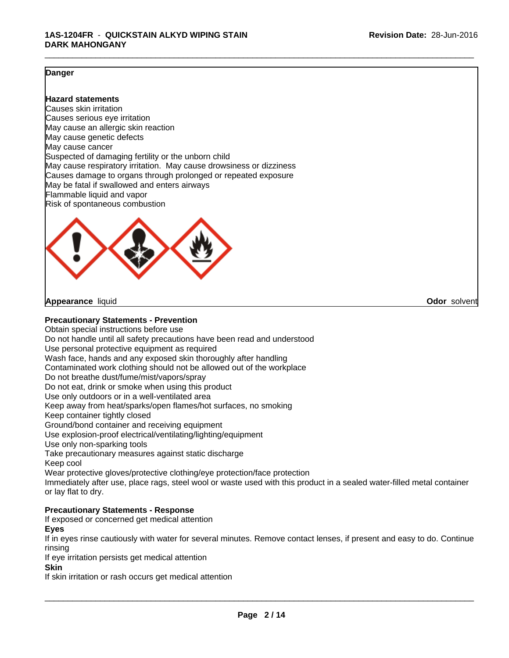## **Danger**

### **Hazard statements**

Causes skin irritation Causes serious eye irritation May cause an allergic skin reaction May cause genetic defects May cause cancer Suspected of damaging fertility or the unborn child May cause respiratory irritation. May cause drowsiness or dizziness Causes damage to organs through prolonged or repeated exposure May be fatal if swallowed and enters airways Flammable liquid and vapor Risk of spontaneous combustion



**Appearance** liquid **Odor** solvent

## **Precautionary Statements - Prevention**

Obtain special instructions before use Do not handle until all safety precautions have been read and understood Use personal protective equipment as required Wash face, hands and any exposed skin thoroughly after handling Contaminated work clothing should not be allowed out of the workplace Do not breathe dust/fume/mist/vapors/spray Do not eat, drink or smoke when using this product Use only outdoors or in a well-ventilated area Keep away from heat/sparks/open flames/hot surfaces, no smoking Keep container tightly closed Ground/bond container and receiving equipment Use explosion-proof electrical/ventilating/lighting/equipment Use only non-sparking tools Take precautionary measures against static discharge Keep cool Wear protective gloves/protective clothing/eye protection/face protection Immediately after use, place rags, steel wool or waste used with this product in a sealed water-filled metal container

or lay flat to dry.

## **Precautionary Statements - Response**

If exposed or concerned get medical attention

**Eyes**

If in eyes rinse cautiously with water for several minutes. Remove contact lenses, if present and easy to do. Continue rinsing

If eye irritation persists get medical attention

**Skin**

If skin irritation or rash occurs get medical attention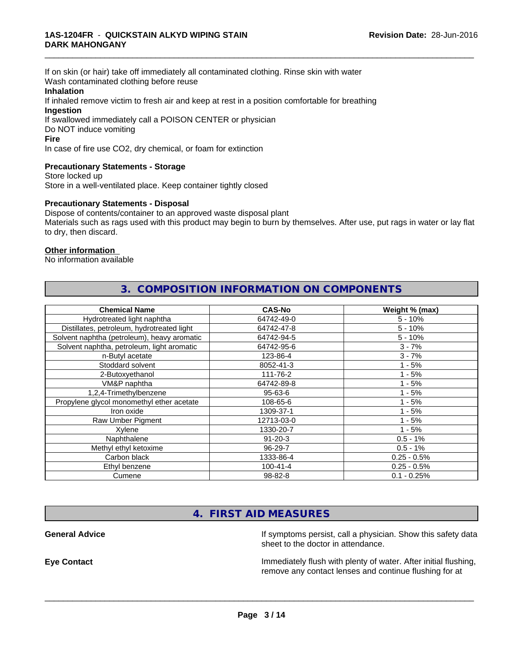If on skin (or hair) take off immediately all contaminated clothing. Rinse skin with water Wash contaminated clothing before reuse

### **Inhalation**

If inhaled remove victim to fresh air and keep at rest in a position comfortable for breathing **Ingestion**

If swallowed immediately call a POISON CENTER or physician Do NOT induce vomiting

#### **Fire**

In case of fire use CO2, dry chemical, or foam for extinction

## **Precautionary Statements - Storage**

Store locked up Store in a well-ventilated place. Keep container tightly closed

## **Precautionary Statements - Disposal**

Dispose of contents/container to an approved waste disposal plant Materials such as rags used with this product may begin to burn by themselves. After use, put rags in water or lay flat to dry, then discard.

**3. COMPOSITION INFORMATION ON COMPONENTS**

\_\_\_\_\_\_\_\_\_\_\_\_\_\_\_\_\_\_\_\_\_\_\_\_\_\_\_\_\_\_\_\_\_\_\_\_\_\_\_\_\_\_\_\_\_\_\_\_\_\_\_\_\_\_\_\_\_\_\_\_\_\_\_\_\_\_\_\_\_\_\_\_\_\_\_\_\_\_\_\_\_\_\_\_\_\_\_\_\_\_\_\_\_

## **Other information**

No information available

| <b>Chemical Name</b>                        | <b>CAS-No</b>  | Weight % (max) |
|---------------------------------------------|----------------|----------------|
| Hydrotreated light naphtha                  | 64742-49-0     | $5 - 10%$      |
| Distillates, petroleum, hydrotreated light  | 64742-47-8     | $5 - 10%$      |
| Solvent naphtha (petroleum), heavy aromatic | 64742-94-5     | $5 - 10%$      |
| Solvent naphtha, petroleum, light aromatic  | 64742-95-6     | $3 - 7%$       |
| n-Butyl acetate                             | 123-86-4       | $3 - 7%$       |
| Stoddard solvent                            | 8052-41-3      | $1 - 5%$       |
| 2-Butoxyethanol                             | 111-76-2       | $1 - 5%$       |
| VM&P naphtha                                | 64742-89-8     | l - 5%         |
| 1,2,4-Trimethylbenzene                      | 95-63-6        | - 5%           |
| Propylene glycol monomethyl ether acetate   | 108-65-6       | $1 - 5%$       |
| Iron oxide                                  | 1309-37-1      | $1 - 5%$       |
| Raw Umber Pigment                           | 12713-03-0     | $1 - 5%$       |
| Xylene                                      | 1330-20-7      | $1 - 5%$       |
| Naphthalene                                 | $91 - 20 - 3$  | $0.5 - 1%$     |
| Methyl ethyl ketoxime                       | 96-29-7        | $0.5 - 1%$     |
| Carbon black                                | 1333-86-4      | $0.25 - 0.5%$  |
| Ethyl benzene                               | $100 - 41 - 4$ | $0.25 - 0.5%$  |
| Cumene                                      | 98-82-8        | $0.1 - 0.25%$  |

## **4. FIRST AID MEASURES**

**General Advice If** symptoms persist, call a physician. Show this safety data sheet to the doctor in attendance.

**Eye Contact Immediately flush with plenty of water. After initial flushing,** remove any contact lenses and continue flushing for at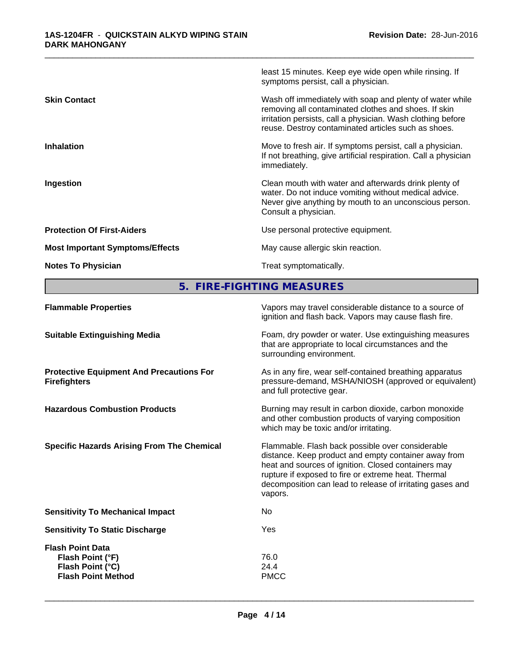|                                        | least 15 minutes. Keep eye wide open while rinsing. If<br>symptoms persist, call a physician.                                                                                                                                          |
|----------------------------------------|----------------------------------------------------------------------------------------------------------------------------------------------------------------------------------------------------------------------------------------|
| <b>Skin Contact</b>                    | Wash off immediately with soap and plenty of water while<br>removing all contaminated clothes and shoes. If skin<br>irritation persists, call a physician. Wash clothing before<br>reuse. Destroy contaminated articles such as shoes. |
| <b>Inhalation</b>                      | Move to fresh air. If symptoms persist, call a physician.<br>If not breathing, give artificial respiration. Call a physician<br>immediately.                                                                                           |
| Ingestion                              | Clean mouth with water and afterwards drink plenty of<br>water. Do not induce vomiting without medical advice.<br>Never give anything by mouth to an unconscious person.<br>Consult a physician.                                       |
| <b>Protection Of First-Aiders</b>      | Use personal protective equipment.                                                                                                                                                                                                     |
| <b>Most Important Symptoms/Effects</b> | May cause allergic skin reaction.                                                                                                                                                                                                      |
| <b>Notes To Physician</b>              | Treat symptomatically.                                                                                                                                                                                                                 |
|                                        |                                                                                                                                                                                                                                        |

# **5. FIRE-FIGHTING MEASURES**

| <b>Flammable Properties</b>                                                                  | Vapors may travel considerable distance to a source of<br>ignition and flash back. Vapors may cause flash fire.                                                                                                                                                                                |
|----------------------------------------------------------------------------------------------|------------------------------------------------------------------------------------------------------------------------------------------------------------------------------------------------------------------------------------------------------------------------------------------------|
| <b>Suitable Extinguishing Media</b>                                                          | Foam, dry powder or water. Use extinguishing measures<br>that are appropriate to local circumstances and the<br>surrounding environment.                                                                                                                                                       |
| <b>Protective Equipment And Precautions For</b><br><b>Firefighters</b>                       | As in any fire, wear self-contained breathing apparatus<br>pressure-demand, MSHA/NIOSH (approved or equivalent)<br>and full protective gear.                                                                                                                                                   |
| <b>Hazardous Combustion Products</b>                                                         | Burning may result in carbon dioxide, carbon monoxide<br>and other combustion products of varying composition<br>which may be toxic and/or irritating.                                                                                                                                         |
| <b>Specific Hazards Arising From The Chemical</b>                                            | Flammable. Flash back possible over considerable<br>distance. Keep product and empty container away from<br>heat and sources of ignition. Closed containers may<br>rupture if exposed to fire or extreme heat. Thermal<br>decomposition can lead to release of irritating gases and<br>vapors. |
| <b>Sensitivity To Mechanical Impact</b>                                                      | No.                                                                                                                                                                                                                                                                                            |
| <b>Sensitivity To Static Discharge</b>                                                       | Yes                                                                                                                                                                                                                                                                                            |
| <b>Flash Point Data</b><br>Flash Point (°F)<br>Flash Point (°C)<br><b>Flash Point Method</b> | 76.0<br>24.4<br><b>PMCC</b>                                                                                                                                                                                                                                                                    |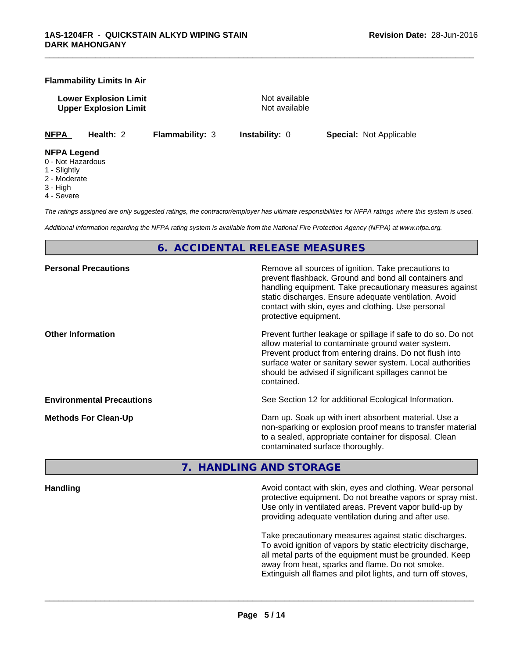### **Flammability Limits In Air**

**Lower Explosion Limit** Not available **Upper Explosion Limit** Not available

\_\_\_\_\_\_\_\_\_\_\_\_\_\_\_\_\_\_\_\_\_\_\_\_\_\_\_\_\_\_\_\_\_\_\_\_\_\_\_\_\_\_\_\_\_\_\_\_\_\_\_\_\_\_\_\_\_\_\_\_\_\_\_\_\_\_\_\_\_\_\_\_\_\_\_\_\_\_\_\_\_\_\_\_\_\_\_\_\_\_\_\_\_

**NFPA Health:** 2 **Flammability:** 3 **Instability:** 0 **Special:** Not Applicable

#### **NFPA Legend**

- 0 Not Hazardous
- 1 Slightly
- 2 Moderate
- 3 High
- 4 Severe

*The ratings assigned are only suggested ratings, the contractor/employer has ultimate responsibilities for NFPA ratings where this system is used.*

*Additional information regarding the NFPA rating system is available from the National Fire Protection Agency (NFPA) at www.nfpa.org.*

## **6. ACCIDENTAL RELEASE MEASURES**

| <b>Personal Precautions</b>      | Remove all sources of ignition. Take precautions to<br>prevent flashback. Ground and bond all containers and<br>handling equipment. Take precautionary measures against<br>static discharges. Ensure adequate ventilation. Avoid<br>contact with skin, eyes and clothing. Use personal<br>protective equipment.  |
|----------------------------------|------------------------------------------------------------------------------------------------------------------------------------------------------------------------------------------------------------------------------------------------------------------------------------------------------------------|
| <b>Other Information</b>         | Prevent further leakage or spillage if safe to do so. Do not<br>allow material to contaminate ground water system.<br>Prevent product from entering drains. Do not flush into<br>surface water or sanitary sewer system. Local authorities<br>should be advised if significant spillages cannot be<br>contained. |
| <b>Environmental Precautions</b> | See Section 12 for additional Ecological Information.                                                                                                                                                                                                                                                            |
| <b>Methods For Clean-Up</b>      | Dam up. Soak up with inert absorbent material. Use a<br>non-sparking or explosion proof means to transfer material<br>to a sealed, appropriate container for disposal. Clean<br>contaminated surface thoroughly.                                                                                                 |

## **7. HANDLING AND STORAGE**

**Handling Handling Avoid contact with skin, eyes and clothing. Wear personal and <b>Handling Avoid contact with skin, eyes and clothing. Wear personal** protective equipment. Do not breathe vapors or spray mist. Use only in ventilated areas. Prevent vapor build-up by providing adequate ventilation during and after use.

> Take precautionary measures against static discharges. To avoid ignition of vapors by static electricity discharge, all metal parts of the equipment must be grounded. Keep away from heat, sparks and flame. Do not smoke. Extinguish all flames and pilot lights, and turn off stoves,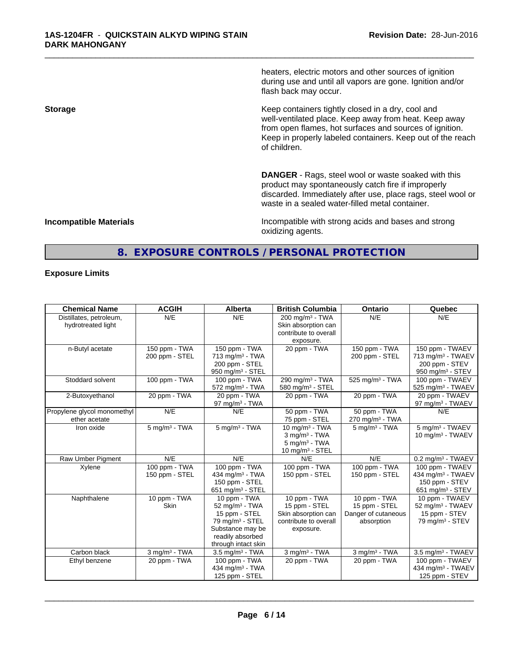heaters, electric motors and other sources of ignition during use and until all vapors are gone. Ignition and/or flash back may occur.

\_\_\_\_\_\_\_\_\_\_\_\_\_\_\_\_\_\_\_\_\_\_\_\_\_\_\_\_\_\_\_\_\_\_\_\_\_\_\_\_\_\_\_\_\_\_\_\_\_\_\_\_\_\_\_\_\_\_\_\_\_\_\_\_\_\_\_\_\_\_\_\_\_\_\_\_\_\_\_\_\_\_\_\_\_\_\_\_\_\_\_\_\_

**Storage Keep containers tightly closed in a dry, cool and <b>Keep** containers tightly closed in a dry, cool and well-ventilated place. Keep away from heat. Keep away from open flames, hot surfaces and sources of ignition. Keep in properly labeled containers. Keep out of the reach of children.

> **DANGER** - Rags, steel wool or waste soaked with this product may spontaneously catch fire if improperly discarded. Immediately after use, place rags, steel wool or waste in a sealed water-filled metal container.

**Incompatible Materials Incompatible with strong acids and bases and strong** oxidizing agents.

## **8. EXPOSURE CONTROLS / PERSONAL PROTECTION**

## **Exposure Limits**

| <b>Chemical Name</b>                          | <b>ACGIH</b>                    | <b>Alberta</b>                                                                                                                                              | <b>British Columbia</b>                                                                      | <b>Ontario</b>                                                       | Quebec                                                                                               |
|-----------------------------------------------|---------------------------------|-------------------------------------------------------------------------------------------------------------------------------------------------------------|----------------------------------------------------------------------------------------------|----------------------------------------------------------------------|------------------------------------------------------------------------------------------------------|
| Distillates, petroleum,<br>hydrotreated light | N/E                             | N/E                                                                                                                                                         | $200 \text{ ma/m}^3$ - TWA<br>Skin absorption can<br>contribute to overall<br>exposure.      | N/E                                                                  | N/E                                                                                                  |
| n-Butyl acetate                               | 150 ppm - TWA<br>200 ppm - STEL | 150 ppm - $TWA$<br>$713$ mg/m <sup>3</sup> - TWA<br>200 ppm - STEL<br>950 mg/m <sup>3</sup> - STEL                                                          | 20 ppm - TWA                                                                                 | 150 ppm - TWA<br>200 ppm - STEL                                      | 150 ppm - TWAEV<br>713 mg/m <sup>3</sup> - TWAEV<br>200 ppm - STEV<br>950 mg/m <sup>3</sup> - STEV   |
| Stoddard solvent                              | 100 ppm - TWA                   | 100 ppm - TWA<br>$572$ mg/m <sup>3</sup> - TWA                                                                                                              | 290 mg/m <sup>3</sup> - TWA<br>580 mg/m <sup>3</sup> - STEL                                  | $525$ mg/m <sup>3</sup> - TWA                                        | 100 ppm - TWAEV<br>525 mg/m <sup>3</sup> - TWAEV                                                     |
| 2-Butoxyethanol                               | 20 ppm - TWA                    | 20 ppm - TWA<br>97 mg/m $3$ - TWA                                                                                                                           | 20 ppm - TWA                                                                                 | 20 ppm - TWA                                                         | 20 ppm - TWAEV<br>97 mg/m <sup>3</sup> - TWAEV                                                       |
| Propylene glycol monomethyl<br>ether acetate  | N/E                             | N/E                                                                                                                                                         | 50 ppm - TWA<br>75 ppm - STEL                                                                | 50 ppm - TWA<br>$270$ mg/m <sup>3</sup> - TWA                        | N/E                                                                                                  |
| Iron oxide                                    | $5$ mg/m $3$ - TWA              | $5$ mg/m <sup>3</sup> - TWA                                                                                                                                 | 10 mg/m $3$ - TWA<br>$3$ mg/m $3$ - TWA<br>$5 \text{ mg/m}^3$ - TWA<br>10 mg/m $3 -$ STEL    | $5$ mg/m $3$ - TWA                                                   | 5 mg/m <sup>3</sup> - TWAEV<br>10 mg/m $3$ - TWAEV                                                   |
| Raw Umber Pigment                             | N/E                             | N/E                                                                                                                                                         | N/E                                                                                          | N/E                                                                  | $0.2$ mg/m <sup>3</sup> - TWAEV                                                                      |
| Xylene                                        | 100 ppm - TWA<br>150 ppm - STEL | 100 ppm - $TWA$<br>434 mg/m $3$ - TWA<br>150 ppm - STEL<br>651 mg/m $3 -$ STEL                                                                              | 100 ppm - TWA<br>150 ppm - STEL                                                              | 100 ppm - TWA<br>150 ppm - STEL                                      | 100 ppm - TWAEV<br>434 mg/m <sup>3</sup> - TWAEV<br>150 ppm - STEV<br>$651$ mg/m <sup>3</sup> - STEV |
| Naphthalene                                   | 10 ppm - $TWA$<br><b>Skin</b>   | 10 ppm - TWA<br>$52$ mg/m <sup>3</sup> - TWA<br>15 ppm - STEL<br>79 mg/m <sup>3</sup> - STEL<br>Substance may be<br>readily absorbed<br>through intact skin | 10 ppm - $TWA$<br>15 ppm - STEL<br>Skin absorption can<br>contribute to overall<br>exposure. | 10 ppm - $TWA$<br>15 ppm - STEL<br>Danger of cutaneous<br>absorption | 10 ppm - TWAEV<br>52 mg/m <sup>3</sup> - TWAEV<br>15 ppm - STEV<br>$79$ mg/m $3 -$ STEV              |
| Carbon black                                  | $3$ mg/m $3$ - TWA              | $3.5 \text{ mg/m}^3$ - TWA                                                                                                                                  | $3$ mg/m $3$ - TWA                                                                           | $3$ mg/m $3$ - TWA                                                   | 3.5 mg/m <sup>3</sup> - TWAEV                                                                        |
| Ethyl benzene                                 | 20 ppm - TWA                    | 100 ppm - TWA<br>434 mg/m $3 - TWA$<br>125 ppm - STEL                                                                                                       | 20 ppm - TWA                                                                                 | 20 ppm - TWA                                                         | 100 ppm - TWAEV<br>434 mg/m <sup>3</sup> - TWAEV<br>125 ppm - STEV                                   |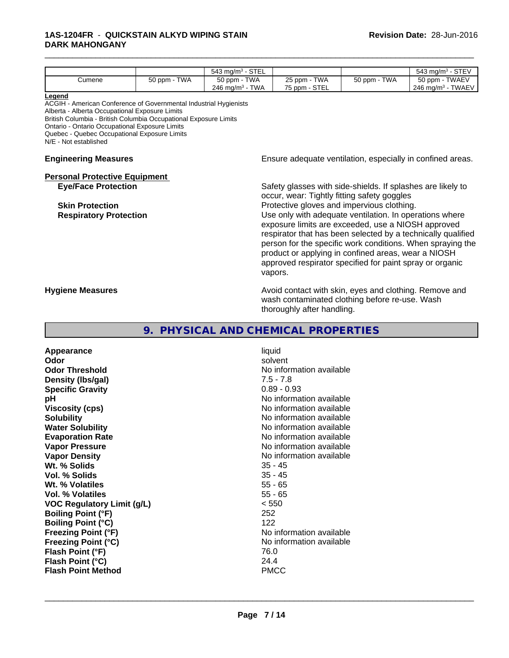## **1AS-1204FR** - **QUICKSTAIN ALKYD WIPING STAIN DARK MAHONGANY**

|                                                                                                                                                                                                                                                                                                                                                                                                                                                                                                                                   |                                                             | 543 mg/m $3 -$ STEL              |                                                                                                                                        |              | 543 mg/m <sup>3</sup> - STEV  |
|-----------------------------------------------------------------------------------------------------------------------------------------------------------------------------------------------------------------------------------------------------------------------------------------------------------------------------------------------------------------------------------------------------------------------------------------------------------------------------------------------------------------------------------|-------------------------------------------------------------|----------------------------------|----------------------------------------------------------------------------------------------------------------------------------------|--------------|-------------------------------|
| Cumene                                                                                                                                                                                                                                                                                                                                                                                                                                                                                                                            | 50 ppm - TWA                                                | 50 ppm - TWA                     | 25 ppm - TWA                                                                                                                           | 50 ppm - TWA | 50 ppm - TWAEV                |
|                                                                                                                                                                                                                                                                                                                                                                                                                                                                                                                                   |                                                             | 246 mg/m $3$ - TWA               | 75 ppm - STEL                                                                                                                          |              | 246 mg/m <sup>3</sup> - TWAEV |
| Legend<br>ACGIH - American Conference of Governmental Industrial Hygienists<br>Alberta - Alberta Occupational Exposure Limits<br>British Columbia - British Columbia Occupational Exposure Limits<br>Ontario - Ontario Occupational Exposure Limits<br>Quebec - Quebec Occupational Exposure Limits<br>N/E - Not established                                                                                                                                                                                                      |                                                             |                                  |                                                                                                                                        |              |                               |
| <b>Engineering Measures</b>                                                                                                                                                                                                                                                                                                                                                                                                                                                                                                       |                                                             |                                  | Ensure adequate ventilation, especially in confined areas.                                                                             |              |                               |
| <b>Personal Protective Equipment</b>                                                                                                                                                                                                                                                                                                                                                                                                                                                                                              |                                                             |                                  |                                                                                                                                        |              |                               |
| <b>Eye/Face Protection</b>                                                                                                                                                                                                                                                                                                                                                                                                                                                                                                        | Safety glasses with side-shields. If splashes are likely to |                                  |                                                                                                                                        |              |                               |
| occur, wear: Tightly fitting safety goggles<br>Protective gloves and impervious clothing.<br><b>Skin Protection</b><br>Use only with adequate ventilation. In operations where<br><b>Respiratory Protection</b><br>exposure limits are exceeded, use a NIOSH approved<br>respirator that has been selected by a technically qualified<br>person for the specific work conditions. When spraying the<br>product or applying in confined areas, wear a NIOSH<br>approved respirator specified for paint spray or organic<br>vapors. |                                                             |                                  |                                                                                                                                        |              |                               |
|                                                                                                                                                                                                                                                                                                                                                                                                                                                                                                                                   |                                                             |                                  |                                                                                                                                        |              |                               |
| <b>Hygiene Measures</b>                                                                                                                                                                                                                                                                                                                                                                                                                                                                                                           |                                                             |                                  | Avoid contact with skin, eyes and clothing. Remove and<br>wash contaminated clothing before re-use. Wash<br>thoroughly after handling. |              |                               |
|                                                                                                                                                                                                                                                                                                                                                                                                                                                                                                                                   | 9.                                                          | PHYSICAL AND CHEMICAL PROPERTIES |                                                                                                                                        |              |                               |
| Appearance                                                                                                                                                                                                                                                                                                                                                                                                                                                                                                                        |                                                             | liquid                           |                                                                                                                                        |              |                               |
| Odor                                                                                                                                                                                                                                                                                                                                                                                                                                                                                                                              |                                                             |                                  | solvent                                                                                                                                |              |                               |
| <b>Odor Threshold</b>                                                                                                                                                                                                                                                                                                                                                                                                                                                                                                             |                                                             |                                  | No information available                                                                                                               |              |                               |

\_\_\_\_\_\_\_\_\_\_\_\_\_\_\_\_\_\_\_\_\_\_\_\_\_\_\_\_\_\_\_\_\_\_\_\_\_\_\_\_\_\_\_\_\_\_\_\_\_\_\_\_\_\_\_\_\_\_\_\_\_\_\_\_\_\_\_\_\_\_\_\_\_\_\_\_\_\_\_\_\_\_\_\_\_\_\_\_\_\_\_\_\_

**Density (lbs/gal)** 7.5 - 7.8<br> **Specific Gravity** 3.1 2.2 2.2 2.2 2.2 2.3 2.93 **Specific Gravity pH**<br>
Viscosity (cps) The Contract of the Contract of the Viscosity (cps) and Viscosity (cps) **Viscosity (cps)** No information available<br> **Solubility** No information available<br>
No information available **Water Solubility Water Solubility Water Solubility No information available Evaporation Rate No information available**<br> **Vapor Pressure No information available**<br>
No information available **Vapor Density**<br> **We Solids**<br>
We Solids
25 - 45 **Wt. % Solids** 35 - 45<br> **Vol. % Solids** 35 - 45 **Vol. % Solids** 35 - 45<br> **Wt. % Volatiles** 35 - 65 **Wt. % Volatiles** 55 - 65<br> **Vol. % Volatiles** 55 - 65 **Vol. % Volatiles** 55 - 65<br> **VOC Requiatory Limit (q/L)** 65 - 650 **VOC** Regulatory Limit (g/L) **Boiling Point (°F)** 252 **Boiling Point (°C)** 122<br> **Freezing Point (°F)** No i **Freezing Point (°C)** No information available **Flash Point (°F)** 76.0 **Flash Point (°C)** 24.4 **Flash Point Method** PMCC

No information available **No information available No information available**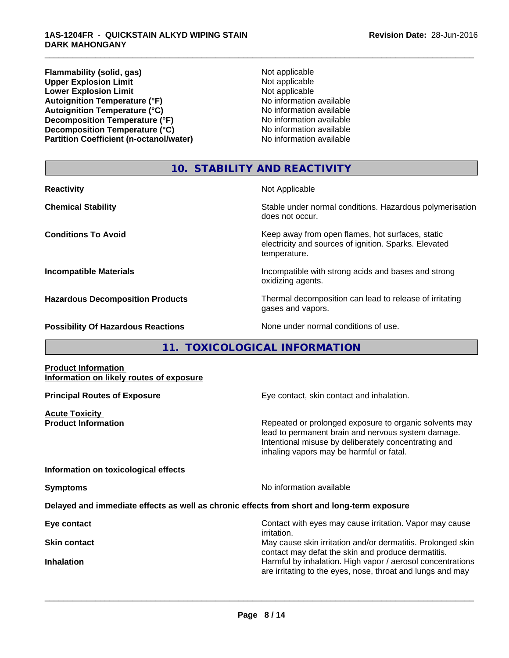**Flammability (solid, gas)** Not applicable **Upper Explosion Limit**<br> **Lower Explosion Limit**<br> **Lower Explosion Limit Lower Explosion Limit**<br> **Autoignition Temperature (°F)**<br> **Autoignition Temperature (°F)**<br> **Autoignition Temperature (°F)**<br> **Autoignition Temperature (°F) Autoignition Temperature (°F)**<br> **Autoignition Temperature (°C)** No information available **Autoignition Temperature (°C)**<br> **Decomposition Temperature (°F)** No information available **Decomposition Temperature (°F) Decomposition Temperature (°C)** No information available **Partition Coefficient (n-octanol/water) No information available** 

\_\_\_\_\_\_\_\_\_\_\_\_\_\_\_\_\_\_\_\_\_\_\_\_\_\_\_\_\_\_\_\_\_\_\_\_\_\_\_\_\_\_\_\_\_\_\_\_\_\_\_\_\_\_\_\_\_\_\_\_\_\_\_\_\_\_\_\_\_\_\_\_\_\_\_\_\_\_\_\_\_\_\_\_\_\_\_\_\_\_\_\_\_

## **10. STABILITY AND REACTIVITY**

| <b>Reactivity</b>                         | Not Applicable                                                                                                            |
|-------------------------------------------|---------------------------------------------------------------------------------------------------------------------------|
| <b>Chemical Stability</b>                 | Stable under normal conditions. Hazardous polymerisation<br>does not occur.                                               |
| <b>Conditions To Avoid</b>                | Keep away from open flames, hot surfaces, static<br>electricity and sources of ignition. Sparks. Elevated<br>temperature. |
| <b>Incompatible Materials</b>             | Incompatible with strong acids and bases and strong<br>oxidizing agents.                                                  |
| <b>Hazardous Decomposition Products</b>   | Thermal decomposition can lead to release of irritating<br>gases and vapors.                                              |
| <b>Possibility Of Hazardous Reactions</b> | None under normal conditions of use.                                                                                      |

**11. TOXICOLOGICAL INFORMATION**

**Product Information Information on likely routes of exposure**

**Acute Toxicity** 

**Principal Routes of Exposure Exposure** Eye contact, skin contact and inhalation.

**Product Information Repeated or prolonged exposure to organic solvents may** lead to permanent brain and nervous system damage. Intentional misuse by deliberately concentrating and inhaling vapors may be harmful or fatal.

## **Information on toxicological effects**

**Symptoms** No information available

 $\overline{\phantom{a}}$  ,  $\overline{\phantom{a}}$  ,  $\overline{\phantom{a}}$  ,  $\overline{\phantom{a}}$  ,  $\overline{\phantom{a}}$  ,  $\overline{\phantom{a}}$  ,  $\overline{\phantom{a}}$  ,  $\overline{\phantom{a}}$  ,  $\overline{\phantom{a}}$  ,  $\overline{\phantom{a}}$  ,  $\overline{\phantom{a}}$  ,  $\overline{\phantom{a}}$  ,  $\overline{\phantom{a}}$  ,  $\overline{\phantom{a}}$  ,  $\overline{\phantom{a}}$  ,  $\overline{\phantom{a}}$ 

## **Delayed and immediate effects as well as chronic effects from short and long-term exposure**

**Eye contact** Contact with eyes may cause irritation. Vapor may cause irritation. **Skin contact** May cause skin irritation and/or dermatitis. Prolonged skin contact may defat the skin and produce dermatitis. **Inhalation Inhalation Harmful by inhalation. High vapor / aerosol concentrations** are irritating to the eyes, nose, throat and lungs and may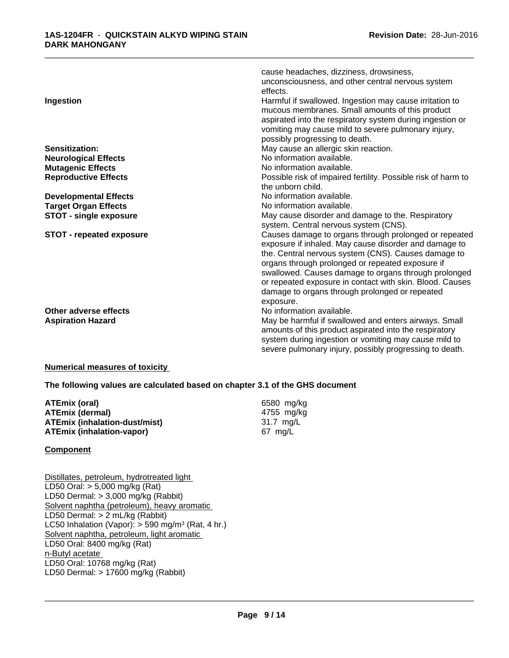| Ingestion                       | cause headaches, dizziness, drowsiness,<br>unconsciousness, and other central nervous system<br>effects.<br>Harmful if swallowed. Ingestion may cause irritation to<br>mucous membranes. Small amounts of this product<br>aspirated into the respiratory system during ingestion or<br>vomiting may cause mild to severe pulmonary injury,<br>possibly progressing to death. |
|---------------------------------|------------------------------------------------------------------------------------------------------------------------------------------------------------------------------------------------------------------------------------------------------------------------------------------------------------------------------------------------------------------------------|
| <b>Sensitization:</b>           | May cause an allergic skin reaction.                                                                                                                                                                                                                                                                                                                                         |
| <b>Neurological Effects</b>     | No information available.                                                                                                                                                                                                                                                                                                                                                    |
| <b>Mutagenic Effects</b>        | No information available.                                                                                                                                                                                                                                                                                                                                                    |
| <b>Reproductive Effects</b>     | Possible risk of impaired fertility. Possible risk of harm to                                                                                                                                                                                                                                                                                                                |
|                                 | the unborn child.                                                                                                                                                                                                                                                                                                                                                            |
| <b>Developmental Effects</b>    | No information available.                                                                                                                                                                                                                                                                                                                                                    |
| <b>Target Organ Effects</b>     | No information available.                                                                                                                                                                                                                                                                                                                                                    |
| <b>STOT - single exposure</b>   | May cause disorder and damage to the. Respiratory                                                                                                                                                                                                                                                                                                                            |
|                                 | system. Central nervous system (CNS).                                                                                                                                                                                                                                                                                                                                        |
| <b>STOT - repeated exposure</b> | Causes damage to organs through prolonged or repeated                                                                                                                                                                                                                                                                                                                        |
|                                 | exposure if inhaled. May cause disorder and damage to                                                                                                                                                                                                                                                                                                                        |
|                                 | the. Central nervous system (CNS). Causes damage to                                                                                                                                                                                                                                                                                                                          |
|                                 | organs through prolonged or repeated exposure if                                                                                                                                                                                                                                                                                                                             |
|                                 | swallowed. Causes damage to organs through prolonged                                                                                                                                                                                                                                                                                                                         |
|                                 | or repeated exposure in contact with skin. Blood. Causes                                                                                                                                                                                                                                                                                                                     |
|                                 | damage to organs through prolonged or repeated                                                                                                                                                                                                                                                                                                                               |
|                                 | exposure.                                                                                                                                                                                                                                                                                                                                                                    |
| Other adverse effects           | No information available.                                                                                                                                                                                                                                                                                                                                                    |
| <b>Aspiration Hazard</b>        | May be harmful if swallowed and enters airways. Small                                                                                                                                                                                                                                                                                                                        |
|                                 | amounts of this product aspirated into the respiratory                                                                                                                                                                                                                                                                                                                       |
|                                 | system during ingestion or vomiting may cause mild to                                                                                                                                                                                                                                                                                                                        |
|                                 | severe pulmonary injury, possibly progressing to death.                                                                                                                                                                                                                                                                                                                      |

## **Numerical measures of toxicity**

**The following values are calculated based on chapter 3.1 of the GHS document**

| ATEmix (oral)                 | 6580 mg/ka |
|-------------------------------|------------|
| ATEmix (dermal)               | 4755 mg/kg |
| ATEmix (inhalation-dust/mist) | 31.7 ma/L  |
| ATEmix (inhalation-vapor)     | 67 mg/L    |

## **Component**

Distillates, petroleum, hydrotreated light LD50 Oral: > 5,000 mg/kg (Rat) LD50 Dermal: > 3,000 mg/kg (Rabbit) Solvent naphtha (petroleum), heavy aromatic LD50 Dermal: > 2 mL/kg (Rabbit) LC50 Inhalation (Vapor): > 590 mg/m<sup>3</sup> (Rat, 4 hr.) Solvent naphtha, petroleum, light aromatic LD50 Oral: 8400 mg/kg (Rat) n-Butyl acetate LD50 Oral: 10768 mg/kg (Rat) LD50 Dermal: > 17600 mg/kg (Rabbit)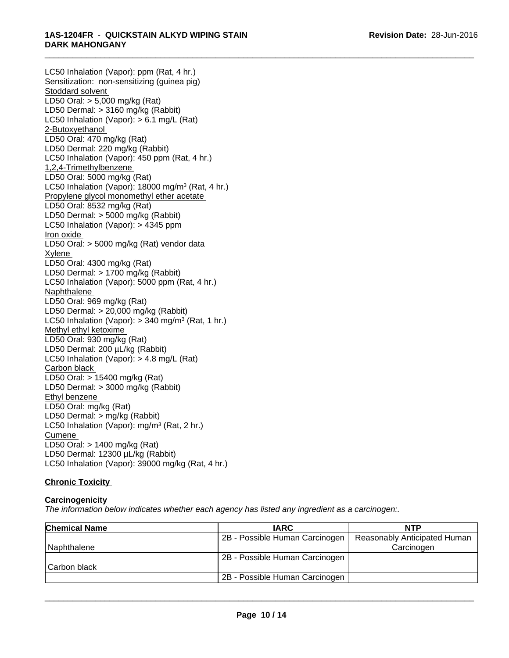LC50 Inhalation (Vapor): ppm (Rat, 4 hr.) Sensitization: non-sensitizing (guinea pig) Stoddard solvent LD50 Oral: > 5,000 mg/kg (Rat) LD50 Dermal: > 3160 mg/kg (Rabbit) LC50 Inhalation (Vapor): > 6.1 mg/L (Rat) 2-Butoxyethanol LD50 Oral: 470 mg/kg (Rat) LD50 Dermal: 220 mg/kg (Rabbit) LC50 Inhalation (Vapor): 450 ppm (Rat, 4 hr.) 1,2,4-Trimethylbenzene LD50 Oral: 5000 mg/kg (Rat) LC50 Inhalation (Vapor): 18000 mg/m<sup>3</sup> (Rat, 4 hr.) Propylene glycol monomethyl ether acetate LD50 Oral: 8532 mg/kg (Rat) LD50 Dermal: > 5000 mg/kg (Rabbit) LC50 Inhalation (Vapor): > 4345 ppm Iron oxide LD50 Oral: > 5000 mg/kg (Rat) vendor data Xylene LD50 Oral: 4300 mg/kg (Rat) LD50 Dermal: > 1700 mg/kg (Rabbit) LC50 Inhalation (Vapor): 5000 ppm (Rat, 4 hr.) Naphthalene LD50 Oral: 969 mg/kg (Rat) LD50 Dermal: > 20,000 mg/kg (Rabbit) LC50 Inhalation (Vapor): > 340 mg/m<sup>3</sup> (Rat, 1 hr.) Methyl ethyl ketoxime LD50 Oral: 930 mg/kg (Rat) LD50 Dermal: 200 µL/kg (Rabbit) LC50 Inhalation (Vapor): > 4.8 mg/L (Rat) Carbon black LD50 Oral: > 15400 mg/kg (Rat) LD50 Dermal: > 3000 mg/kg (Rabbit) Ethyl benzene LD50 Oral: mg/kg (Rat) LD50 Dermal: > mg/kg (Rabbit) LC50 Inhalation (Vapor): mg/m<sup>3</sup> (Rat, 2 hr.) Cumene LD50 Oral: > 1400 mg/kg (Rat) LD50 Dermal: 12300 µL/kg (Rabbit) LC50 Inhalation (Vapor): 39000 mg/kg (Rat, 4 hr.)

## **Chronic Toxicity**

## **Carcinogenicity**

*The information below indicateswhether each agency has listed any ingredient as a carcinogen:.*

| <b>Chemical Name</b> | <b>IARC</b>                    | <b>NTP</b>                   |  |
|----------------------|--------------------------------|------------------------------|--|
|                      | 2B - Possible Human Carcinogen | Reasonably Anticipated Human |  |
| l Naphthalene        |                                | Carcinogen                   |  |
|                      | 2B - Possible Human Carcinogen |                              |  |
| l Carbon black       |                                |                              |  |
|                      | 2B - Possible Human Carcinogen |                              |  |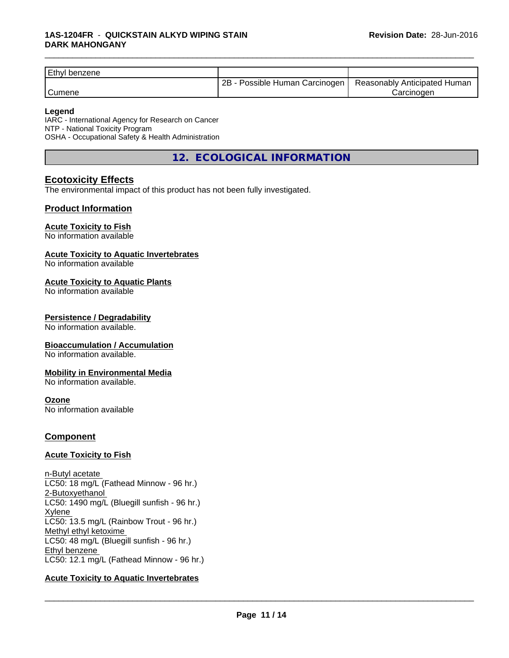| <b>Ethyl benzene</b> |                                 |                              |  |
|----------------------|---------------------------------|------------------------------|--|
|                      | 2B<br>Possible Human Carcinogen | Reasonably Anticipated Human |  |
| <sup>'</sup> Cumene  |                                 | Carcinoder                   |  |

#### **Legend**

IARC - International Agency for Research on Cancer NTP - National Toxicity Program OSHA - Occupational Safety & Health Administration

**12. ECOLOGICAL INFORMATION**

## **Ecotoxicity Effects**

The environmental impact of this product has not been fully investigated.

## **Product Information**

## **Acute Toxicity to Fish**

No information available

#### **Acute Toxicity to Aquatic Invertebrates**

No information available

#### **Acute Toxicity to Aquatic Plants**

No information available

## **Persistence / Degradability**

No information available.

## **Bioaccumulation / Accumulation**

No information available.

## **Mobility in Environmental Media**

No information available.

#### **Ozone**

No information available

## **Component**

## **Acute Toxicity to Fish**

n-Butyl acetate LC50: 18 mg/L (Fathead Minnow - 96 hr.) 2-Butoxyethanol LC50: 1490 mg/L (Bluegill sunfish - 96 hr.) Xylene LC50: 13.5 mg/L (Rainbow Trout - 96 hr.) Methyl ethyl ketoxime LC50: 48 mg/L (Bluegill sunfish - 96 hr.) Ethyl benzene LC50: 12.1 mg/L (Fathead Minnow - 96 hr.)

## **Acute Toxicity to Aquatic Invertebrates**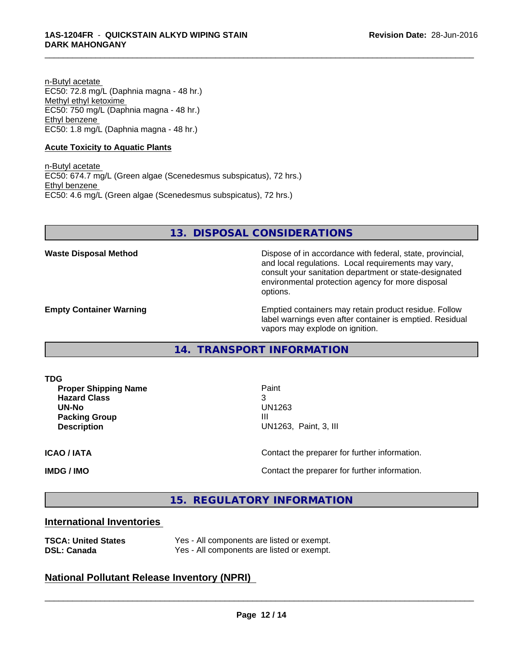n-Butyl acetate EC50: 72.8 mg/L (Daphnia magna - 48 hr.) Methyl ethyl ketoxime EC50: 750 mg/L (Daphnia magna - 48 hr.) Ethyl benzene EC50: 1.8 mg/L (Daphnia magna - 48 hr.)

### **Acute Toxicity to Aquatic Plants**

n-Butyl acetate EC50: 674.7 mg/L (Green algae (Scenedesmus subspicatus), 72 hrs.) Ethyl benzene EC50: 4.6 mg/L (Green algae (Scenedesmus subspicatus), 72 hrs.)

## **13. DISPOSAL CONSIDERATIONS**

**Waste Disposal Method** Dispose of in accordance with federal, state, provincial, and local regulations. Local requirements may vary, consult your sanitation department or state-designated environmental protection agency for more disposal options.

**Empty Container Warning <b>Emptied** Containers may retain product residue. Follow label warnings even after container is emptied. Residual vapors may explode on ignition.

**14. TRANSPORT INFORMATION**

**TDG**

**Proper Shipping Name** Paint **Hazard Class** 3 **UN-No** UN1263 **Packing Group III**<br>**Description III** Description

**UN1263, Paint, 3, III** 

 $\overline{\phantom{a}}$  ,  $\overline{\phantom{a}}$  ,  $\overline{\phantom{a}}$  ,  $\overline{\phantom{a}}$  ,  $\overline{\phantom{a}}$  ,  $\overline{\phantom{a}}$  ,  $\overline{\phantom{a}}$  ,  $\overline{\phantom{a}}$  ,  $\overline{\phantom{a}}$  ,  $\overline{\phantom{a}}$  ,  $\overline{\phantom{a}}$  ,  $\overline{\phantom{a}}$  ,  $\overline{\phantom{a}}$  ,  $\overline{\phantom{a}}$  ,  $\overline{\phantom{a}}$  ,  $\overline{\phantom{a}}$ 

\_\_\_\_\_\_\_\_\_\_\_\_\_\_\_\_\_\_\_\_\_\_\_\_\_\_\_\_\_\_\_\_\_\_\_\_\_\_\_\_\_\_\_\_\_\_\_\_\_\_\_\_\_\_\_\_\_\_\_\_\_\_\_\_\_\_\_\_\_\_\_\_\_\_\_\_\_\_\_\_\_\_\_\_\_\_\_\_\_\_\_\_\_

**ICAO / IATA** Contact the preparer for further information.

**IMDG / IMO Contact the preparer for further information.** 

**15. REGULATORY INFORMATION**

## **International Inventories**

| <b>TSCA: United States</b> | Yes - All components are listed or exempt. |
|----------------------------|--------------------------------------------|
| <b>DSL: Canada</b>         | Yes - All components are listed or exempt. |

## **National Pollutant Release Inventory (NPRI)**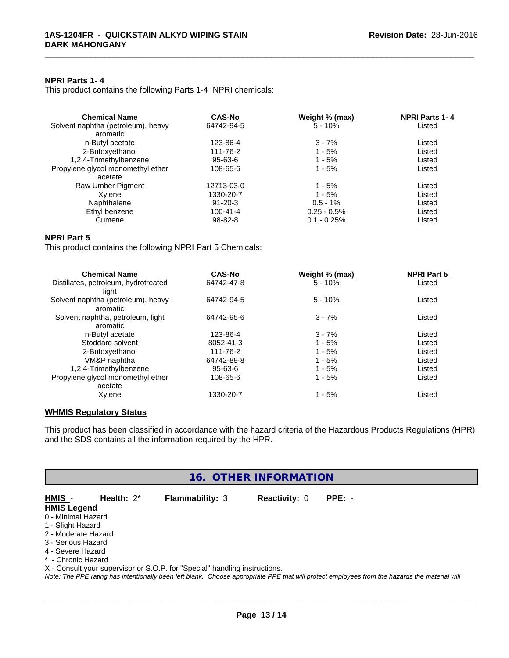### **NPRI Parts 1- 4**

This product contains the following Parts 1-4 NPRI chemicals:

| <b>Chemical Name</b>               | <b>CAS-No</b>  | Weight % (max) | <b>NPRI Parts 1-4</b> |  |
|------------------------------------|----------------|----------------|-----------------------|--|
| Solvent naphtha (petroleum), heavy | 64742-94-5     | $5 - 10%$      | Listed                |  |
| aromatic                           |                |                |                       |  |
| n-Butyl acetate                    | 123-86-4       | $3 - 7%$       | Listed                |  |
| 2-Butoxyethanol                    | 111-76-2       | $1 - 5%$       | Listed                |  |
| 1,2,4-Trimethylbenzene             | $95 - 63 - 6$  | $1 - 5%$       | Listed                |  |
| Propylene glycol monomethyl ether  | 108-65-6       | $1 - 5%$       | Listed                |  |
| acetate                            |                |                |                       |  |
| Raw Umber Pigment                  | 12713-03-0     | 1 - 5%         | Listed                |  |
| Xvlene                             | 1330-20-7      | $1 - 5%$       | Listed                |  |
| Naphthalene                        | $91 - 20 - 3$  | $0.5 - 1%$     | Listed                |  |
| Ethyl benzene                      | $100 - 41 - 4$ | $0.25 - 0.5\%$ | Listed                |  |
| Cumene                             | $98 - 82 - 8$  | $0.1 - 0.25%$  | Listed                |  |
|                                    |                |                |                       |  |

\_\_\_\_\_\_\_\_\_\_\_\_\_\_\_\_\_\_\_\_\_\_\_\_\_\_\_\_\_\_\_\_\_\_\_\_\_\_\_\_\_\_\_\_\_\_\_\_\_\_\_\_\_\_\_\_\_\_\_\_\_\_\_\_\_\_\_\_\_\_\_\_\_\_\_\_\_\_\_\_\_\_\_\_\_\_\_\_\_\_\_\_\_

## **NPRI Part 5**

This product contains the following NPRI Part 5 Chemicals:

| <b>Chemical Name</b>                 | <b>CAS-No</b> | Weight % (max) | <b>NPRI Part 5</b> |  |
|--------------------------------------|---------------|----------------|--------------------|--|
| Distillates, petroleum, hydrotreated | 64742-47-8    | $5 - 10%$      | Listed             |  |
| liaht                                |               |                |                    |  |
| Solvent naphtha (petroleum), heavy   | 64742-94-5    | $5 - 10%$      | Listed             |  |
| aromatic                             |               |                |                    |  |
| Solvent naphtha, petroleum, light    | 64742-95-6    | $3 - 7%$       | Listed             |  |
| aromatic                             |               |                |                    |  |
| n-Butyl acetate                      | 123-86-4      | $3 - 7%$       | Listed             |  |
| Stoddard solvent                     | 8052-41-3     | $1 - 5%$       | Listed             |  |
| 2-Butoxyethanol                      | 111-76-2      | $1 - 5%$       | Listed             |  |
| VM&P naphtha                         | 64742-89-8    | $1 - 5%$       | Listed             |  |
| 1,2,4-Trimethylbenzene               | 95-63-6       | $1 - 5%$       | Listed             |  |
| Propylene glycol monomethyl ether    | 108-65-6      | $1 - 5%$       | Listed             |  |
| acetate                              |               |                |                    |  |
| Xylene                               | 1330-20-7     | $1 - 5%$       | Listed             |  |

## **WHMIS Regulatory Status**

This product has been classified in accordance with the hazard criteria of the Hazardous Products Regulations (HPR) and the SDS contains all the information required by the HPR.

## **16. OTHER INFORMATION**

**HMIS** - **Health:** 2\* **Flammability:** 3 **Reactivity:** 0 **PPE:** -

- **HMIS Legend**
- 0 Minimal Hazard 1 - Slight Hazard
- 2 Moderate Hazard
- 3 Serious Hazard
- 4 Severe Hazard
- \* Chronic Hazard

X - Consult your supervisor or S.O.P. for "Special" handling instructions.

*Note: The PPE rating has intentionally been left blank. Choose appropriate PPE that will protect employees from the hazards the material will*